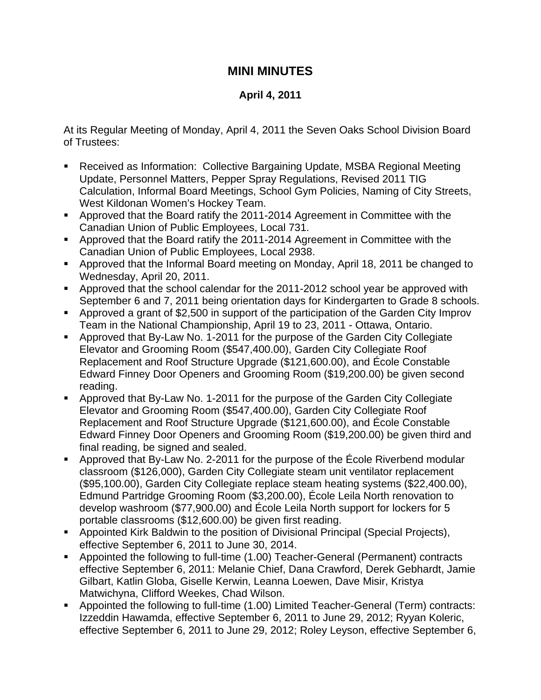## **MINI MINUTES**

## **April 4, 2011**

At its Regular Meeting of Monday, April 4, 2011 the Seven Oaks School Division Board of Trustees:

- Received as Information: Collective Bargaining Update, MSBA Regional Meeting Update, Personnel Matters, Pepper Spray Regulations, Revised 2011 TIG Calculation, Informal Board Meetings, School Gym Policies, Naming of City Streets, West Kildonan Women's Hockey Team.
- Approved that the Board ratify the 2011-2014 Agreement in Committee with the Canadian Union of Public Employees, Local 731.
- Approved that the Board ratify the 2011-2014 Agreement in Committee with the Canadian Union of Public Employees, Local 2938.
- Approved that the Informal Board meeting on Monday, April 18, 2011 be changed to Wednesday, April 20, 2011.
- Approved that the school calendar for the 2011-2012 school year be approved with September 6 and 7, 2011 being orientation days for Kindergarten to Grade 8 schools.
- Approved a grant of \$2,500 in support of the participation of the Garden City Improv Team in the National Championship, April 19 to 23, 2011 - Ottawa, Ontario.
- Approved that By-Law No. 1-2011 for the purpose of the Garden City Collegiate Elevator and Grooming Room (\$547,400.00), Garden City Collegiate Roof Replacement and Roof Structure Upgrade (\$121,600.00), and École Constable Edward Finney Door Openers and Grooming Room (\$19,200.00) be given second reading.
- Approved that By-Law No. 1-2011 for the purpose of the Garden City Collegiate Elevator and Grooming Room (\$547,400.00), Garden City Collegiate Roof Replacement and Roof Structure Upgrade (\$121,600.00), and École Constable Edward Finney Door Openers and Grooming Room (\$19,200.00) be given third and final reading, be signed and sealed.
- Approved that By-Law No. 2-2011 for the purpose of the École Riverbend modular classroom (\$126,000), Garden City Collegiate steam unit ventilator replacement (\$95,100.00), Garden City Collegiate replace steam heating systems (\$22,400.00), Edmund Partridge Grooming Room (\$3,200.00), École Leila North renovation to develop washroom (\$77,900.00) and École Leila North support for lockers for 5 portable classrooms (\$12,600.00) be given first reading.
- Appointed Kirk Baldwin to the position of Divisional Principal (Special Projects), effective September 6, 2011 to June 30, 2014.
- Appointed the following to full-time (1.00) Teacher-General (Permanent) contracts effective September 6, 2011: Melanie Chief, Dana Crawford, Derek Gebhardt, Jamie Gilbart, Katlin Globa, Giselle Kerwin, Leanna Loewen, Dave Misir, Kristya Matwichyna, Clifford Weekes, Chad Wilson.
- Appointed the following to full-time (1.00) Limited Teacher-General (Term) contracts: Izzeddin Hawamda, effective September 6, 2011 to June 29, 2012; Ryyan Koleric, effective September 6, 2011 to June 29, 2012; Roley Leyson, effective September 6,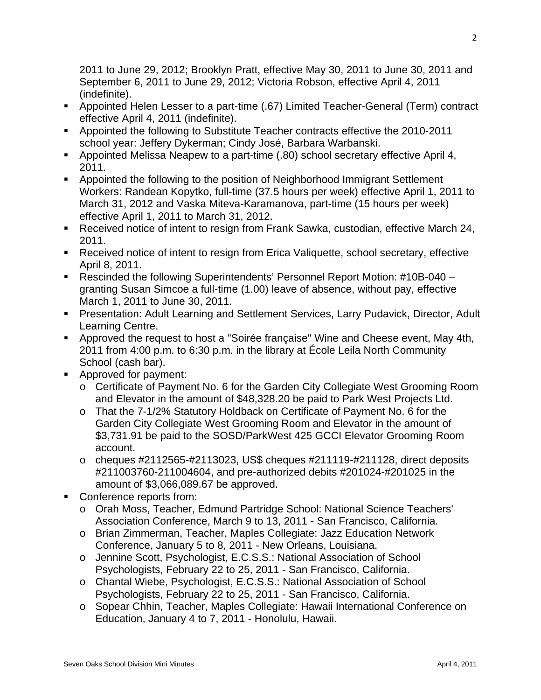2011 to June 29, 2012; Brooklyn Pratt, effective May 30, 2011 to June 30, 2011 and September 6, 2011 to June 29, 2012; Victoria Robson, effective April 4, 2011 (indefinite).

- Appointed Helen Lesser to a part-time (.67) Limited Teacher-General (Term) contract effective April 4, 2011 (indefinite).
- **Appointed the following to Substitute Teacher contracts effective the 2010-2011** school year: Jeffery Dykerman; Cindy José, Barbara Warbanski.
- Appointed Melissa Neapew to a part-time (.80) school secretary effective April 4, 2011.
- Appointed the following to the position of Neighborhood Immigrant Settlement Workers: Randean Kopytko, full-time (37.5 hours per week) effective April 1, 2011 to March 31, 2012 and Vaska Miteva-Karamanova, part-time (15 hours per week) effective April 1, 2011 to March 31, 2012.
- Received notice of intent to resign from Frank Sawka, custodian, effective March 24, 2011.
- Received notice of intent to resign from Erica Valiquette, school secretary, effective April 8, 2011.
- Rescinded the following Superintendents' Personnel Report Motion: #10B-040 granting Susan Simcoe a full-time (1.00) leave of absence, without pay, effective March 1, 2011 to June 30, 2011.
- Presentation: Adult Learning and Settlement Services, Larry Pudavick, Director, Adult Learning Centre.
- Approved the request to host a "Soirée française" Wine and Cheese event, May 4th, 2011 from 4:00 p.m. to 6:30 p.m. in the library at École Leila North Community School (cash bar).
- **Approved for payment:** 
	- o Certificate of Payment No. 6 for the Garden City Collegiate West Grooming Room and Elevator in the amount of \$48,328.20 be paid to Park West Projects Ltd.
	- o That the 7-1/2% Statutory Holdback on Certificate of Payment No. 6 for the Garden City Collegiate West Grooming Room and Elevator in the amount of \$3,731.91 be paid to the SOSD/ParkWest 425 GCCI Elevator Grooming Room account.
	- $\circ$  cheques #2112565-#2113023, US\$ cheques #211119-#211128, direct deposits #211003760-211004604, and pre-authorized debits #201024-#201025 in the amount of \$3,066,089.67 be approved.
- Conference reports from:
	- o Orah Moss, Teacher, Edmund Partridge School: National Science Teachers' Association Conference, March 9 to 13, 2011 - San Francisco, California.
	- o Brian Zimmerman, Teacher, Maples Collegiate: Jazz Education Network Conference, January 5 to 8, 2011 - New Orleans, Louisiana.
	- o Jennine Scott, Psychologist, E.C.S.S.: National Association of School Psychologists, February 22 to 25, 2011 - San Francisco, California.
	- o Chantal Wiebe, Psychologist, E.C.S.S.: National Association of School Psychologists, February 22 to 25, 2011 - San Francisco, California.
	- o Sopear Chhin, Teacher, Maples Collegiate: Hawaii International Conference on Education, January 4 to 7, 2011 - Honolulu, Hawaii.